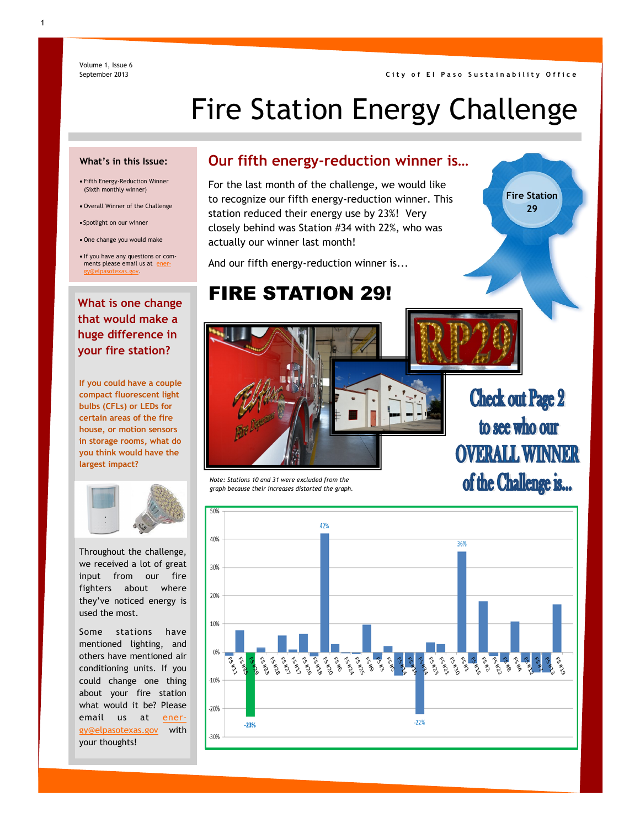# Fire Station Energy Challenge

#### **What's in this Issue:**

Volume 1, Issue 6 September 2013

- Fifth Energy-Reduction Winner (Sixth monthly winner)
- Overall Winner of the Challenge
- Spotlight on our winner
- One change you would make

• If you have any questions or comments please email us at e [gy@elpasotexas.gov.](mailto:energy@elpasotexas.gov) 

### **Our fifth energy-reduction winner is…**

For the last month of the challenge, we would like to recognize our fifth energy-reduction winner. This station reduced their energy use by 23%! Very closely behind was Station #34 with 22%, who was actually our winner last month!

And our fifth energy-reduction winner is...

# FIRE STATION 29!

### **What is one change that would make a huge difference in your fire station?**

**If you could have a couple compact fluorescent light bulbs (CFLs) or LEDs for certain areas of the fire house, or motion sensors in storage rooms, what do you think would have the largest impact?** 



Throughout the challenge, we received a lot of great input from our fire fighters about where they've noticed energy is used the most.

Some stations have mentioned lighting, and others have mentioned air conditioning units. If you could change one thing about your fire station what would it be? Please email us at [ener](mailto:energy@elpasotexas.gov)[gy@elpasotexas.gov](mailto:energy@elpasotexas.gov) with your thoughts!

#### *Note: Stations 10 and 31 were excluded from the graph because their increases distorted the graph.*

# **Check out Page 2** to see who our **OVERALL WINNER** of the Challenge is...

**Fire Station 29**